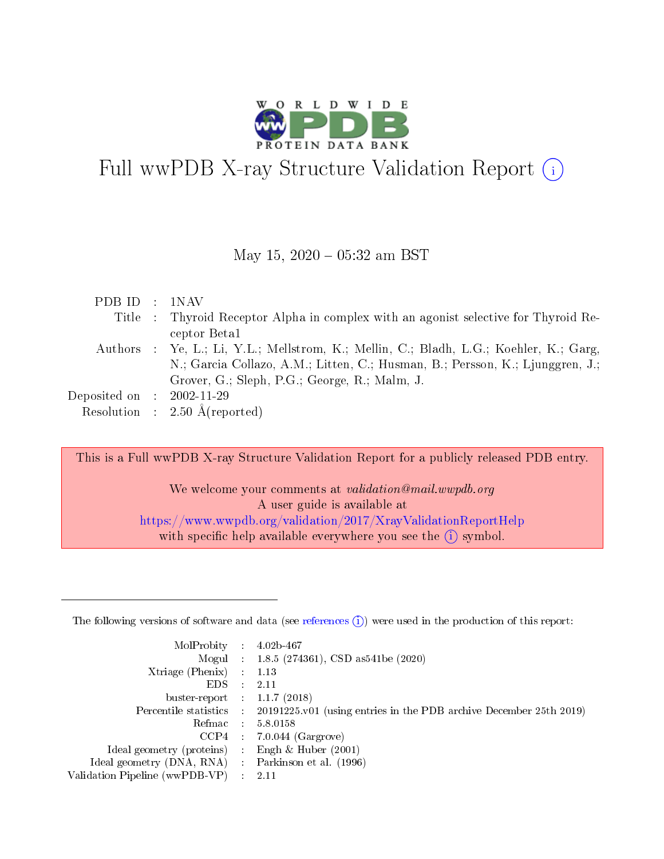

# Full wwPDB X-ray Structure Validation Report  $(i)$

#### May 15,  $2020 - 05:32$  am BST

|  | PDB ID : 1NAV                                                                          |
|--|----------------------------------------------------------------------------------------|
|  | Title : Thyroid Receptor Alpha in complex with an agonist selective for Thyroid Re-    |
|  | ceptor Beta1                                                                           |
|  | Authors : Ye, L.; Li, Y.L.; Mellstrom, K.; Mellin, C.; Bladh, L.G.; Koehler, K.; Garg, |
|  | N.; Garcia Collazo, A.M.; Litten, C.; Husman, B.; Persson, K.; Ljunggren, J.;          |
|  | Grover, G.; Sleph, P.G.; George, R.; Malm, J.                                          |
|  | Deposited on : $2002-11-29$                                                            |
|  | Resolution : $2.50 \text{ Å}$ (reported)                                               |

This is a Full wwPDB X-ray Structure Validation Report for a publicly released PDB entry.

We welcome your comments at *validation@mail.wwpdb.org* A user guide is available at <https://www.wwpdb.org/validation/2017/XrayValidationReportHelp> with specific help available everywhere you see the  $(i)$  symbol.

The following versions of software and data (see [references](https://www.wwpdb.org/validation/2017/XrayValidationReportHelp#references)  $(1)$ ) were used in the production of this report:

| MolProbity :                   |               | $4.02b - 467$                                                               |
|--------------------------------|---------------|-----------------------------------------------------------------------------|
|                                |               | Mogul : $1.8.5$ (274361), CSD as 541be (2020)                               |
| $X$ triage (Phenix) :          |               | 1.13                                                                        |
| EDS.                           |               | 2.11                                                                        |
| buster-report : $1.1.7$ (2018) |               |                                                                             |
| Percentile statistics :        |               | $20191225 \text{v}01$ (using entries in the PDB archive December 25th 2019) |
| Refmac :                       |               | 5.8.0158                                                                    |
| $CCP4$ :                       |               | $7.0.044$ (Gargrove)                                                        |
| Ideal geometry (proteins) :    |               | Engh $\&$ Huber (2001)                                                      |
| Ideal geometry (DNA, RNA) :    |               | Parkinson et al. (1996)                                                     |
| Validation Pipeline (wwPDB-VP) | $\mathcal{L}$ | 2.11                                                                        |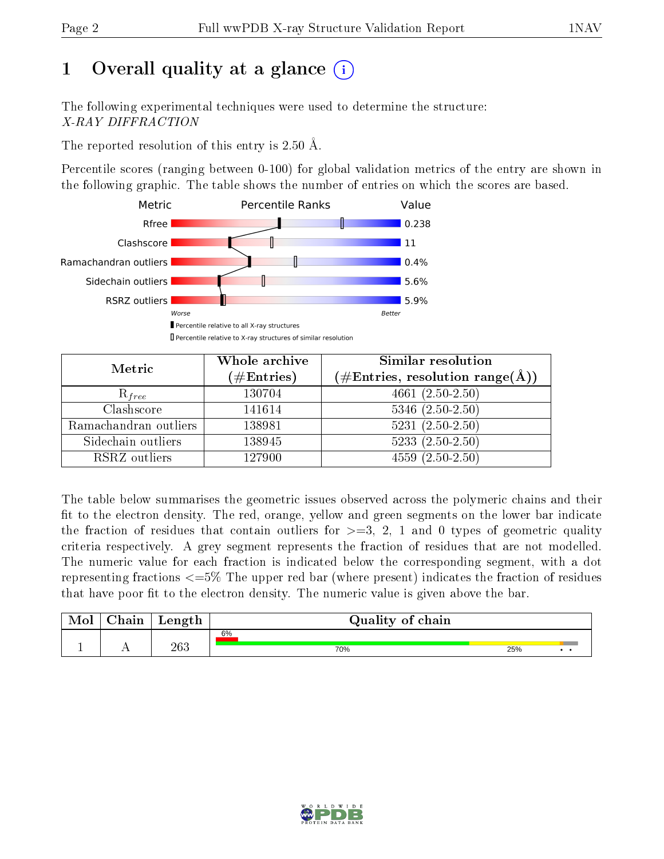# 1 [O](https://www.wwpdb.org/validation/2017/XrayValidationReportHelp#overall_quality)verall quality at a glance  $(i)$

The following experimental techniques were used to determine the structure: X-RAY DIFFRACTION

The reported resolution of this entry is 2.50 Å.

Percentile scores (ranging between 0-100) for global validation metrics of the entry are shown in the following graphic. The table shows the number of entries on which the scores are based.



| Metric                | Whole archive<br>$(\#\text{Entries})$ | Similar resolution<br>$(\#\text{Entries},\,\text{resolution}\,\,\text{range}(\textup{\AA}))$ |
|-----------------------|---------------------------------------|----------------------------------------------------------------------------------------------|
| $R_{free}$            | 130704                                | 4661 $(2.50-2.50)$                                                                           |
| Clashscore            | 141614                                | $5346$ $(2.50-2.50)$                                                                         |
| Ramachandran outliers | 138981                                | $5231 (2.50 - 2.50)$                                                                         |
| Sidechain outliers    | 138945                                | $5233(2.50-2.50)$                                                                            |
| RSRZ outliers         | 127900                                | $4559(2.50-2.50)$                                                                            |

The table below summarises the geometric issues observed across the polymeric chains and their fit to the electron density. The red, orange, yellow and green segments on the lower bar indicate the fraction of residues that contain outliers for  $>=3, 2, 1$  and 0 types of geometric quality criteria respectively. A grey segment represents the fraction of residues that are not modelled. The numeric value for each fraction is indicated below the corresponding segment, with a dot representing fractions  $\epsilon=5\%$  The upper red bar (where present) indicates the fraction of residues that have poor fit to the electron density. The numeric value is given above the bar.

| Mol | $\cap$ hain | Length | Quality of chain |     |  |  |  |  |  |
|-----|-------------|--------|------------------|-----|--|--|--|--|--|
|     |             |        | 6%               |     |  |  |  |  |  |
|     |             | 263    | 70%              | 25% |  |  |  |  |  |

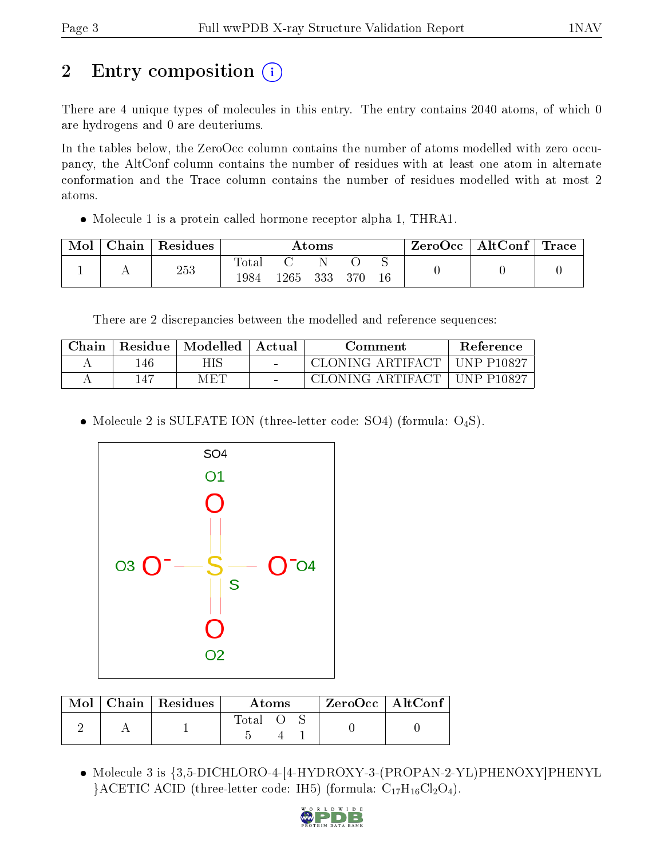# 2 Entry composition  $\left( \cdot \right)$

There are 4 unique types of molecules in this entry. The entry contains 2040 atoms, of which 0 are hydrogens and 0 are deuteriums.

In the tables below, the ZeroOcc column contains the number of atoms modelled with zero occupancy, the AltConf column contains the number of residues with at least one atom in alternate conformation and the Trace column contains the number of residues modelled with at most 2 atoms.

Molecule 1 is a protein called hormone receptor alpha 1, THRA1.

| Mol | Chain | $\vert$ Residues | Atoms         |                 |     |     | ZeroOcc∣ | $\mid$ AltConf $\mid$ Trace |  |  |
|-----|-------|------------------|---------------|-----------------|-----|-----|----------|-----------------------------|--|--|
|     |       | 253              | Totar<br>1984 | $^{\rm t}265$ . | 333 | 370 |          |                             |  |  |

There are 2 discrepancies between the modelled and reference sequences:

| Chain | Residue | $\blacksquare$ Modelled $\blacksquare$ Actual | Comment                       | <b>Reference</b> |
|-------|---------|-----------------------------------------------|-------------------------------|------------------|
|       | 146     | HIS                                           | CLONING ARTIFACT   UNP P10827 |                  |
|       | 147     | MET                                           | CLONING ARTIFACT   UNP P10827 |                  |

• Molecule 2 is SULFATE ION (three-letter code: SO4) (formula:  $O_4S$ ).



|  | $\text{Mol}$   Chain   Residues | Atoms |  |  | ZeroOcc   AltConf |
|--|---------------------------------|-------|--|--|-------------------|
|  |                                 | Total |  |  |                   |

• Molecule 3 is  $\{3,5\text{-}DICHLORO-4-[4-HYDROXY-3-(PROPAN-2-YL)PHENOXY]PHENYL$ }ACETIC ACID (three-letter code: IH5) (formula:  $C_{17}H_{16}Cl_2O_4$ ).

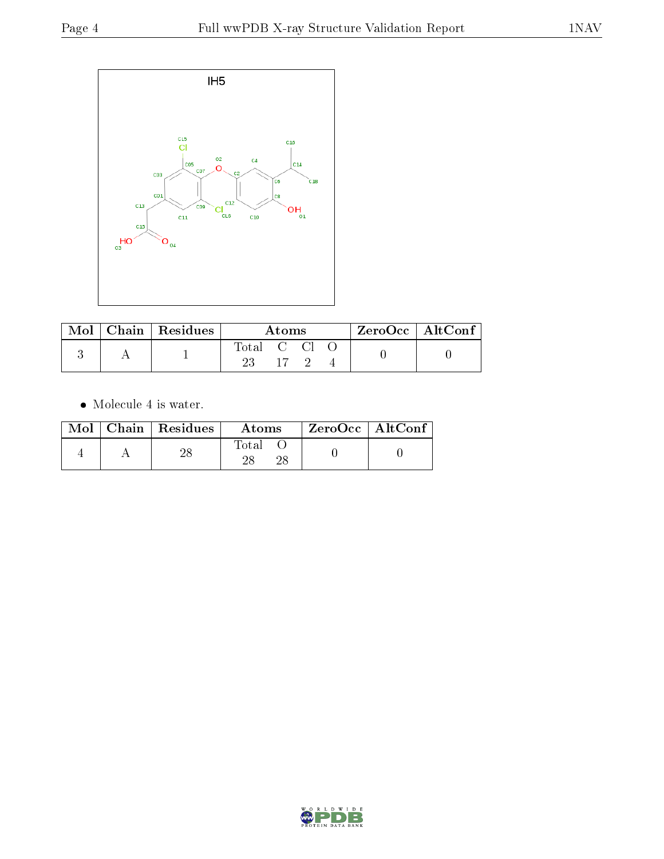

|  | Mol   Chain   Residues | Atoms      |         |  |  | $ZeroOcc \   \$ AltConf |
|--|------------------------|------------|---------|--|--|-------------------------|
|  |                        | Total C Cl |         |  |  |                         |
|  |                        |            | $-17-9$ |  |  |                         |

 $\bullet\,$  Molecule 4 is water.

|  | $Mol$   Chain   Residues | Atoms | $ZeroOcc \mid AltConf \mid$ |
|--|--------------------------|-------|-----------------------------|
|  | 28                       | Total |                             |

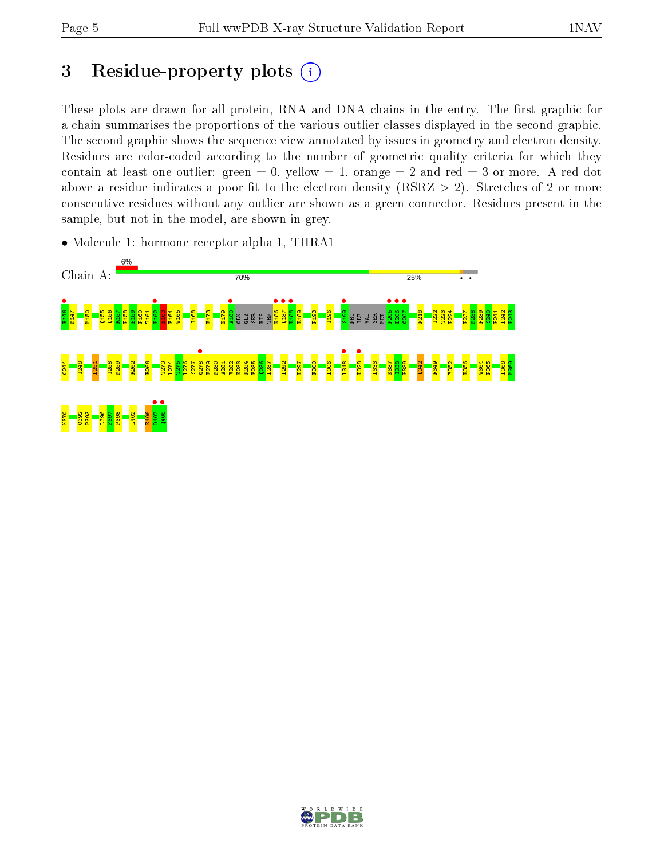# 3 Residue-property plots  $(i)$

These plots are drawn for all protein, RNA and DNA chains in the entry. The first graphic for a chain summarises the proportions of the various outlier classes displayed in the second graphic. The second graphic shows the sequence view annotated by issues in geometry and electron density. Residues are color-coded according to the number of geometric quality criteria for which they contain at least one outlier: green  $= 0$ , yellow  $= 1$ , orange  $= 2$  and red  $= 3$  or more. A red dot above a residue indicates a poor fit to the electron density (RSRZ  $> 2$ ). Stretches of 2 or more consecutive residues without any outlier are shown as a green connector. Residues present in the sample, but not in the model, are shown in grey.

• Molecule 1: hormone receptor alpha 1, THRA1



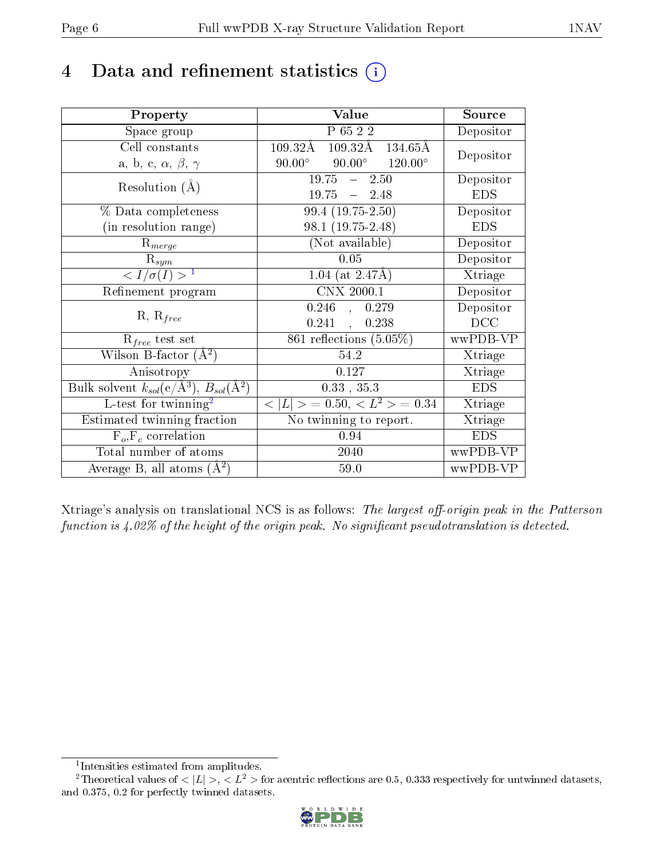# 4 Data and refinement statistics  $(i)$

| Property                                                             | Value                                               | Source     |
|----------------------------------------------------------------------|-----------------------------------------------------|------------|
| Space group                                                          | P 65 2 2                                            | Depositor  |
| Cell constants                                                       | $109.32\text{\AA}$<br>109.32Å 134.65Å               | Depositor  |
| a, b, c, $\alpha,\,\beta,\,\gamma$                                   | $90.00^{\circ}$ $120.00^{\circ}$<br>$90.00^{\circ}$ |            |
| Resolution $(A)$                                                     | $19.75 - 2.50$                                      | Depositor  |
|                                                                      | $19.75 - 2.48$                                      | <b>EDS</b> |
| % Data completeness                                                  | 99.4 (19.75-2.50)                                   | Depositor  |
| (in resolution range)                                                | $98.1(19.75-2.48)$                                  | <b>EDS</b> |
| $R_{merge}$                                                          | (Not available)                                     | Depositor  |
| $\mathrm{R}_{sym}$                                                   | 0.05                                                | Depositor  |
| $\langle I/\sigma(I) \rangle^{-1}$                                   | 1.04 (at $2.47\text{\AA}$ )                         | Xtriage    |
| Refinement program                                                   | CNX 2000.1                                          | Depositor  |
| $R, R_{free}$                                                        | $0.246$ , $0.279$                                   | Depositor  |
|                                                                      | $0.241$ ,<br>0.238                                  | DCC        |
| $R_{free}$ test set                                                  | $861$ reflections $(5.05\%)$                        | wwPDB-VP   |
| Wilson B-factor $(A^2)$                                              | 54.2                                                | Xtriage    |
| Anisotropy                                                           | 0.127                                               | Xtriage    |
| Bulk solvent $k_{sol}(e/\mathring{A}^3)$ , $B_{sol}(\mathring{A}^2)$ | $0.33$ , $35.3$                                     | <b>EDS</b> |
| L-test for twinning <sup>2</sup>                                     | $< L >$ = 0.50, $< L^2 >$ = 0.34                    | Xtriage    |
| Estimated twinning fraction                                          | No twinning to report.                              | Xtriage    |
| $F_o, F_c$ correlation                                               | 0.94                                                | <b>EDS</b> |
| Total number of atoms                                                | 2040                                                | wwPDB-VP   |
| Average B, all atoms $(A^2)$                                         | $59.0$                                              | wwPDB-VP   |

Xtriage's analysis on translational NCS is as follows: The largest off-origin peak in the Patterson function is  $4.02\%$  of the height of the origin peak. No significant pseudotranslation is detected.

<sup>&</sup>lt;sup>2</sup>Theoretical values of  $\langle |L| \rangle$ ,  $\langle L^2 \rangle$  for acentric reflections are 0.5, 0.333 respectively for untwinned datasets, and 0.375, 0.2 for perfectly twinned datasets.



<span id="page-5-1"></span><span id="page-5-0"></span><sup>1</sup> Intensities estimated from amplitudes.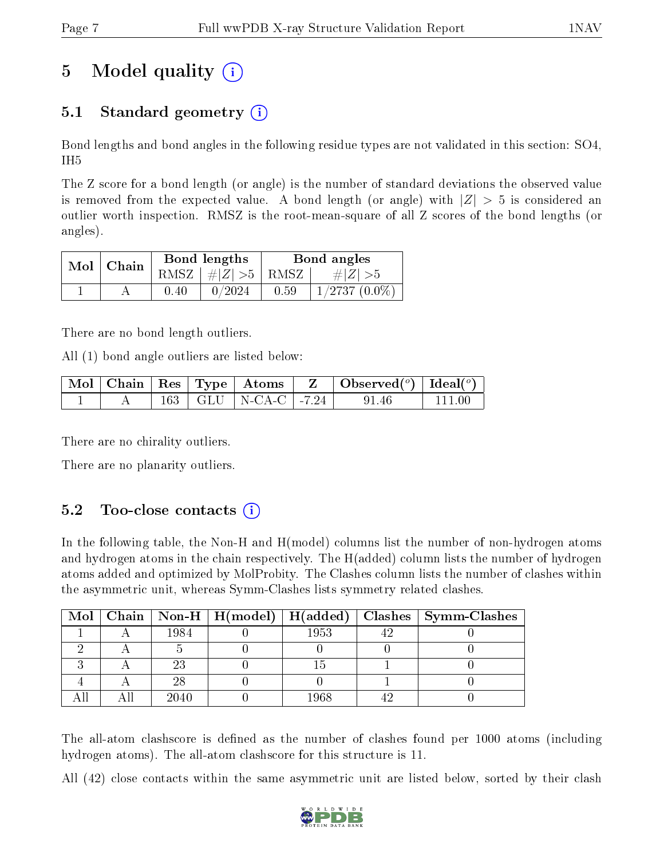# 5 Model quality  $(i)$

## 5.1 Standard geometry  $(i)$

Bond lengths and bond angles in the following residue types are not validated in this section: SO4, IH5

The Z score for a bond length (or angle) is the number of standard deviations the observed value is removed from the expected value. A bond length (or angle) with  $|Z| > 5$  is considered an outlier worth inspection. RMSZ is the root-mean-square of all Z scores of the bond lengths (or angles).

| $Mol$   Chain |      | Bond lengths                | Bond angles |                 |  |
|---------------|------|-----------------------------|-------------|-----------------|--|
|               |      | $RMSZ \mid # Z  > 5$   RMSZ |             | $\# Z  > 5$     |  |
|               | 0.40 | 0/2024                      | 0.59        | $1/2737(0.0\%)$ |  |

There are no bond length outliers.

All (1) bond angle outliers are listed below:

|  |  |  | $\mid$ Mol $\mid$ Chain $\mid$ Res $\mid$ Type $\mid$ Atoms $\mid$ $\mid$ Z $\mid$ Observed( $^o$ ) $\mid$ Ideal( $^o$ ) $\mid$ |              |
|--|--|--|---------------------------------------------------------------------------------------------------------------------------------|--------------|
|  |  |  | $163$   GLU   N-CA-C   -7.24   91.46                                                                                            | $\pm$ 111 00 |

There are no chirality outliers.

There are no planarity outliers.

### $5.2$  Too-close contacts  $(i)$

In the following table, the Non-H and H(model) columns list the number of non-hydrogen atoms and hydrogen atoms in the chain respectively. The H(added) column lists the number of hydrogen atoms added and optimized by MolProbity. The Clashes column lists the number of clashes within the asymmetric unit, whereas Symm-Clashes lists symmetry related clashes.

|  |      |      | Mol   Chain   Non-H   H(model)   H(added)   Clashes   Symm-Clashes |
|--|------|------|--------------------------------------------------------------------|
|  | 1984 | 1953 |                                                                    |
|  |      |      |                                                                    |
|  | 23   |      |                                                                    |
|  |      |      |                                                                    |
|  | 2040 | 1968 |                                                                    |

The all-atom clashscore is defined as the number of clashes found per 1000 atoms (including hydrogen atoms). The all-atom clashscore for this structure is 11.

All (42) close contacts within the same asymmetric unit are listed below, sorted by their clash

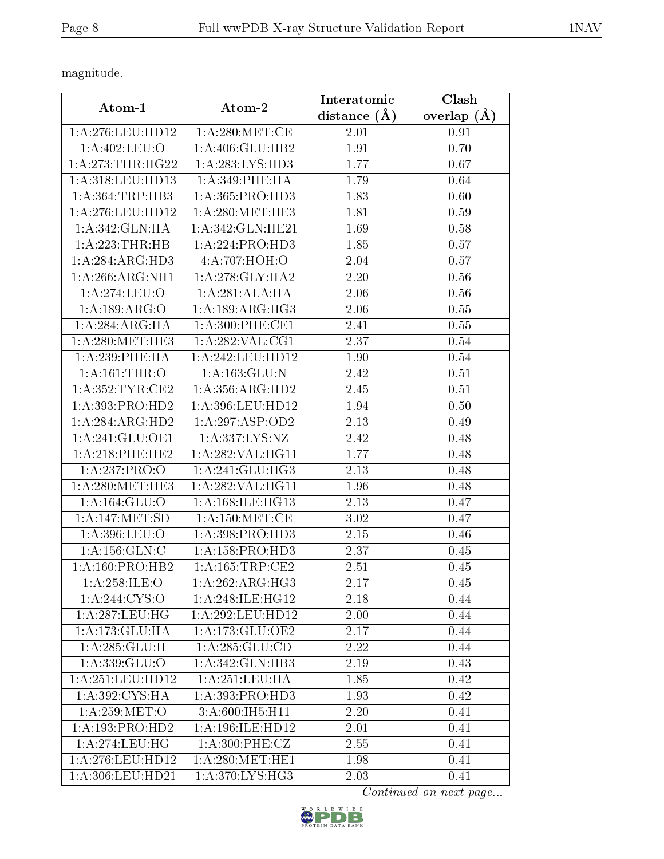magnitude.

|                     |                      | Interatomic       | Clash         |
|---------------------|----------------------|-------------------|---------------|
| Atom-1              | Atom-2               | distance $(A)$    | overlap $(A)$ |
| 1:A:276:LEU:HD12    | 1: A:280:MET:CE      | 2.01              | 0.91          |
| 1: A:402:LEU:O      | 1:A:406:GLU:HB2      | 1.91              | 0.70          |
| 1: A:273:THR:HG22   | 1:A:283:LYS:HD3      | 1.77              | 0.67          |
| 1: A:318: LEU: HD13 | 1: A:349: PHE: HA    | 1.79              | 0.64          |
| 1: A: 364: TRP: HB3 | 1:A:365:PRO:HD3      | 1.83              | 0.60          |
| 1: A:276:LEU:HD12   | 1: A:280:MET:HE3     | 1.81              | 0.59          |
| 1:A:342:GLN:HA      | 1: A:342: GLN: HE21  | 1.69              | 0.58          |
| 1: A:223:THR:HB     | 1:A:224:PRO:HD3      | 1.85              | 0.57          |
| 1:A:284:ARG:HD3     | 4:A:707:HOH:O        | 2.04              | 0.57          |
| 1: A:266: ARG: NH1  | 1: A:278: GLY:HA2    | 2.20              | 0.56          |
| 1:A:274:LEU:O       | 1: A:281:ALA:HA      | 2.06              | 0.56          |
| 1:A:189:ARG:O       | 1: A: 189: ARG: HG3  | 2.06              | 0.55          |
| 1:A:284:ARG:HA      | 1:A:300:PHE:CE1      | 2.41              | 0.55          |
| 1: A:280:MET:HE3    | 1: A:282:VAL:CG1     | 2.37              | 0.54          |
| $1: A:239:$ PHE:HA  | 1:A:242:LEU:HD12     | 1.90              | 0.54          |
| 1: A:161:THR:O      | 1: A: 163: GLU:N     | 2.42              | 0.51          |
| 1: A:352:TYR:CE2    | 1: A: 356: ARG: HD2  | 2.45              | 0.51          |
| 1:A:393:PRO:HD2     | 1:A:396:LEU:HD12     | 1.94              | 0.50          |
| 1: A:284: ARG:HD2   | 1:A:297:ASP:OD2      | 2.13              | 0.49          |
| 1:A:241:GLU:OE1     | 1:A:337:LYS:NZ       | 2.42              | 0.48          |
| 1: A:218:PHE:HE2    | 1:A:282:VAL:HG11     | 1.77              | 0.48          |
| 1:A:237:PRO:O       | 1: A:241: GLU:HG3    | 2.13              | 0.48          |
| 1: A:280:MET:HE3    | 1:A:282:VAL:HG11     | 1.96              | 0.48          |
| 1:A:164:GLU:O       | 1: A: 168: ILE: HG13 | 2.13              | 0.47          |
| 1:A:147:MET:SD      | 1: A: 150: MET: CE   | 3.02              | 0.47          |
| 1:A:396:LEU:O       | 1:A:398:PRO:HD3      | 2.15              | 0.46          |
| 1: A: 156: GLN: C   | 1:A:158:PRO:HD3      | 2.37              | 0.45          |
| 1: A:160: PRO:HB2   | 1: A: 165: TRP: CE2  | 2.51              | 0.45          |
| 1: A:258: ILE:O     | 1:A:262:ARG:HG3      | 2.17              | 0.45          |
| 1: A:244: CYS:O     | 1:A:248:ILE:HG12     | 2.18              | 0.44          |
| 1:A:287:LEU:HG      | 1:A:292:LEU:HD12     | 2.00              | 0.44          |
| 1:A:173:GLU:HA      | 1:A:173:GLU:OE2      | $\overline{2.17}$ | 0.44          |
| 1: A:285: GLU: H    | 1:A:285:GLU:CD       | 2.22              | 0.44          |
| 1:A:339:GLU:O       | 1:A:342:GLN:HB3      | 2.19              | 0.43          |
| 1: A:251:LEU:HD12   | 1: A:251:LEU:HA      | 1.85              | 0.42          |
| 1:A:392:CYS:HA      | 1:A:393:PRO:HD3      | 1.93              | 0.42          |
| 1: A:259: MET:O     | 3:A:600:IH5:H11      | 2.20              | 0.41          |
| 1:A:193:PRO:HD2     | 1: A:196: ILE: HD12  | 2.01              | 0.41          |
| 1:A:274:LEU:HG      | 1: A:300: PHE: CZ    | 2.55              | 0.41          |
| 1: A:276:LEU:HD12   | 1: A:280:MET:HE1     | 1.98              | 0.41          |
| 1:A:306:LEU:HD21    | 1:A:370:LYS:HG3      | 2.03              | 0.41          |

Continued on next page...

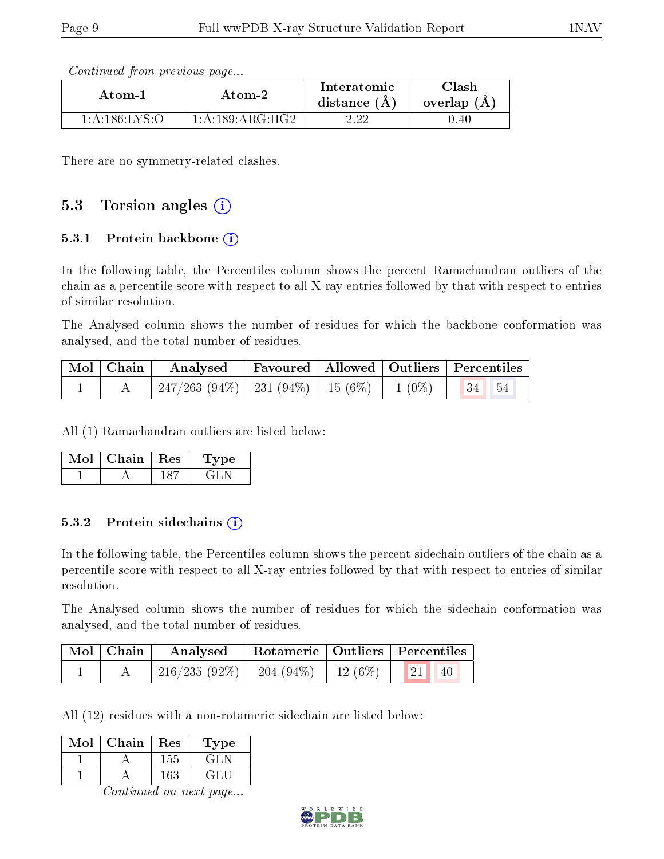Continued from previous page...

| Atom-1                                          | Atom-2             | Interatomic<br>distance $(A)$ | ${\rm Class}$<br>overlap (A |
|-------------------------------------------------|--------------------|-------------------------------|-----------------------------|
| $1 \cdot A \cdot 186 \cdot I \cdot Y S \cdot O$ | 1: A:189: ARG: HG2 | ດ ດດ                          | 0.40                        |

There are no symmetry-related clashes.

### 5.3 Torsion angles (i)

#### 5.3.1 Protein backbone  $(i)$

In the following table, the Percentiles column shows the percent Ramachandran outliers of the chain as a percentile score with respect to all X-ray entries followed by that with respect to entries of similar resolution.

The Analysed column shows the number of residues for which the backbone conformation was analysed, and the total number of residues.

|  | Mol   Chain   Analysed   Favoured   Allowed   Outliers   Percentiles |  |  |  |
|--|----------------------------------------------------------------------|--|--|--|
|  | 247/263 (94%)   231 (94%)   15 (6%)   1 (0%)   34   54               |  |  |  |

All (1) Ramachandran outliers are listed below:

| Mol | Chain   Res | ype |
|-----|-------------|-----|
|     |             |     |

#### 5.3.2 Protein sidechains  $(i)$

In the following table, the Percentiles column shows the percent sidechain outliers of the chain as a percentile score with respect to all X-ray entries followed by that with respect to entries of similar resolution.

The Analysed column shows the number of residues for which the sidechain conformation was analysed, and the total number of residues.

| Mol   Chain | Analysed                                                          |  | Rotameric   Outliers   Percentiles |  |
|-------------|-------------------------------------------------------------------|--|------------------------------------|--|
|             | $\mid 216/235 \; (92\%) \mid 204 \; (94\%) \mid 12 \; (6\%) \mid$ |  | $\left(21\right)$<br>40            |  |

All (12) residues with a non-rotameric sidechain are listed below:

| Mol | Chain | Res | L'ype   |
|-----|-------|-----|---------|
|     |       | 155 | GH.     |
|     |       | 163 | $\pm 1$ |

Continued on next page...

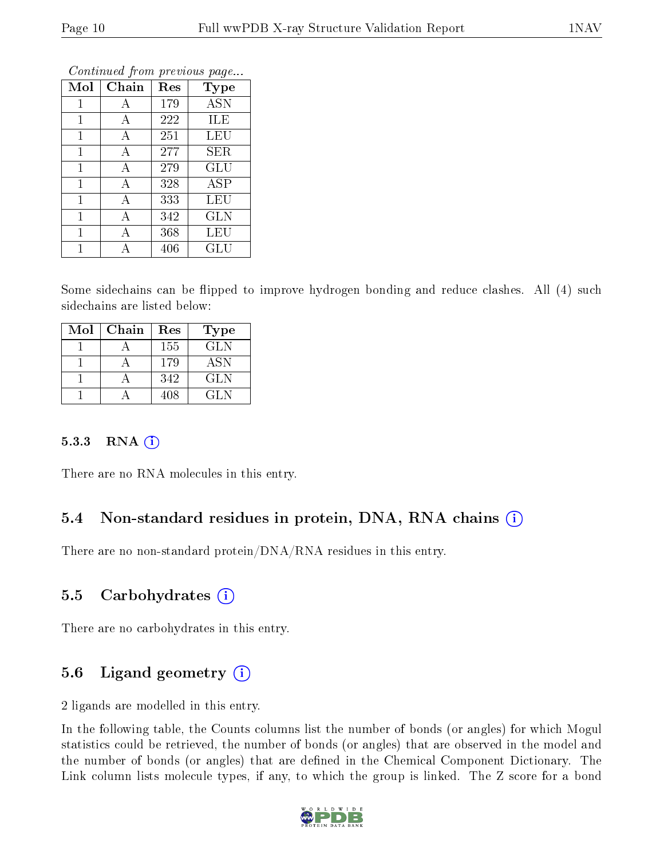| Mol          | Chain | Res | <b>Type</b> |
|--------------|-------|-----|-------------|
| $\mathbf{1}$ | А     | 179 | <b>ASN</b>  |
| 1            | А     | 222 | ILE         |
| $\mathbf{1}$ | А     | 251 | LEU         |
| $\mathbf{1}$ | А     | 277 | SER         |
| 1            | А     | 279 | GLU         |
| $\mathbf{1}$ | А     | 328 | ASP         |
| $\mathbf{1}$ | A     | 333 | LEU         |
| 1            | А     | 342 | <b>GLN</b>  |
| $\mathbf 1$  | А     | 368 | LEU         |
| 1            | Д     | 406 | GLU         |

Continued from previous page...

Some sidechains can be flipped to improve hydrogen bonding and reduce clashes. All (4) such sidechains are listed below:

| Mol | Chain | Res | <b>Type</b> |
|-----|-------|-----|-------------|
|     |       | 155 | GLN         |
|     |       | 179 | <b>ASN</b>  |
|     |       | 342 | <b>GLN</b>  |
|     |       | 408 | GL N        |

#### 5.3.3 RNA (i)

There are no RNA molecules in this entry.

### 5.4 Non-standard residues in protein, DNA, RNA chains (i)

There are no non-standard protein/DNA/RNA residues in this entry.

#### 5.5 Carbohydrates  $(i)$

There are no carbohydrates in this entry.

### 5.6 Ligand geometry  $(i)$

2 ligands are modelled in this entry.

In the following table, the Counts columns list the number of bonds (or angles) for which Mogul statistics could be retrieved, the number of bonds (or angles) that are observed in the model and the number of bonds (or angles) that are defined in the Chemical Component Dictionary. The Link column lists molecule types, if any, to which the group is linked. The Z score for a bond

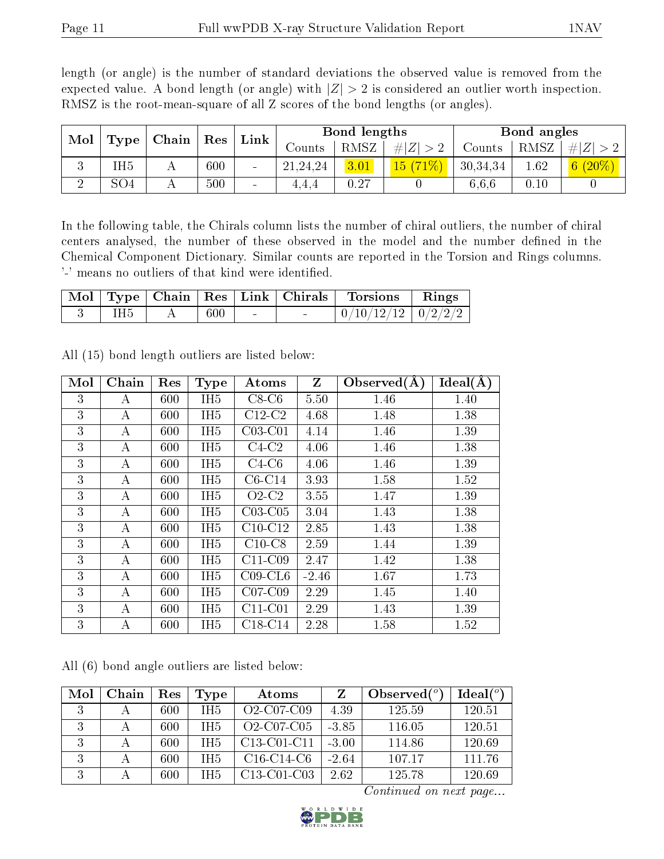length (or angle) is the number of standard deviations the observed value is removed from the expected value. A bond length (or angle) with  $|Z| > 2$  is considered an outlier worth inspection. RMSZ is the root-mean-square of all Z scores of the bond lengths (or angles).

| Mol |                 |  |     | , Chain∣                 |          |      |     | Res      | Link |          | Bond lengths |  |  | Bond angles |  |
|-----|-----------------|--|-----|--------------------------|----------|------|-----|----------|------|----------|--------------|--|--|-------------|--|
|     | Type            |  |     |                          | Counts   | RMSZ | H Z | Counts   | RMSZ | Z        |              |  |  |             |  |
| ◡   | íH5             |  | 600 |                          | 21,24,24 | 3.01 | 15/ | 30,34,34 | 1.62 | $(20\%)$ |              |  |  |             |  |
|     | SO <sub>4</sub> |  | 500 | $\overline{\phantom{a}}$ | 4.4.4    | 0.27 |     | 6.6.6    | 0.10 |          |              |  |  |             |  |

In the following table, the Chirals column lists the number of chiral outliers, the number of chiral centers analysed, the number of these observed in the model and the number defined in the Chemical Component Dictionary. Similar counts are reported in the Torsion and Rings columns. '-' means no outliers of that kind were identified.

|     |         |        | Mol   Type   Chain   Res   Link   Chirals | Torsions Rings           |  |
|-----|---------|--------|-------------------------------------------|--------------------------|--|
| IH5 | $600\,$ | $\sim$ |                                           | $0/10/12/12$   $0/2/2/2$ |  |

| Mol | Chain | Res | <b>Type</b>     | Atoms      | Z       | Observed $(A)$ | $Ideal(\AA)$ |
|-----|-------|-----|-----------------|------------|---------|----------------|--------------|
| 3   | А     | 600 | IH <sub>5</sub> | $C8-C6$    | 5.50    | 1.46           | 1.40         |
| 3   | A     | 600 | IH <sub>5</sub> | $C12-C2$   | 4.68    | 1.48           | 1.38         |
| 3   | А     | 600 | IH <sub>5</sub> | $C03-C01$  | 4.14    | 1.46           | 1.39         |
| 3   | А     | 600 | IH <sub>5</sub> | $C4-C2$    | 4.06    | 1.46           | 1.38         |
| 3   | А     | 600 | IH <sub>5</sub> | $C4-C6$    | 4.06    | 1.46           | 1.39         |
| 3   | A     | 600 | IH <sub>5</sub> | $C6-C14$   | 3.93    | 1.58           | 1.52         |
| 3   | A     | 600 | IH <sub>5</sub> | $O2-C2$    | 3.55    | 1.47           | 1.39         |
| 3   | А     | 600 | IH <sub>5</sub> | $C03-C05$  | 3.04    | 1.43           | 1.38         |
| 3   | А     | 600 | IH <sub>5</sub> | $C10-C12$  | 2.85    | 1.43           | 1.38         |
| 3   | A     | 600 | IH <sub>5</sub> | $C10-C8$   | 2.59    | 1.44           | 1.39         |
| 3   | А     | 600 | IH <sub>5</sub> | $C11-C09$  | 2.47    | 1.42           | 1.38         |
| 3   | А     | 600 | IH <sub>5</sub> | $C09$ -CL6 | $-2.46$ | 1.67           | 1.73         |
| 3   | A     | 600 | IH <sub>5</sub> | $C07-C09$  | 2.29    | 1.45           | 1.40         |
| 3   | А     | 600 | IH <sub>5</sub> | $C11-C01$  | 2.29    | 1.43           | 1.39         |
| 3   | А     | 600 | IH <sub>5</sub> | $C18-C14$  | 2.28    | 1.58           | 1.52         |

All (15) bond length outliers are listed below:

All (6) bond angle outliers are listed below:

| Mol | Chain | Res | Type            | Atoms                                             | Z       | Observed $(°)$ | Ideal(°) |
|-----|-------|-----|-----------------|---------------------------------------------------|---------|----------------|----------|
|     |       | 600 | TH <sub>5</sub> | O <sub>2</sub> -C <sub>0</sub> 7-C <sub>09</sub>  | 4.39    | 125.59         | 120.51   |
|     |       | 600 | TH <sub>5</sub> | $O2$ -C07-C05                                     | $-3.85$ | 116.05         | 120.51   |
| 3   |       | 600 | IH <sub>5</sub> | C13-C01-C11                                       | $-3.00$ | 114.86         | 120.69   |
| 3   |       | 600 | IH <sub>5</sub> | $C16-C14-C6$                                      | $-2.64$ | 107.17         | 111.76   |
| 3   |       | 600 | IH5             | C <sub>13</sub> -C <sub>01</sub> -C <sub>03</sub> | 2.62    | 125.78         | 120.69   |

Continued on next page...

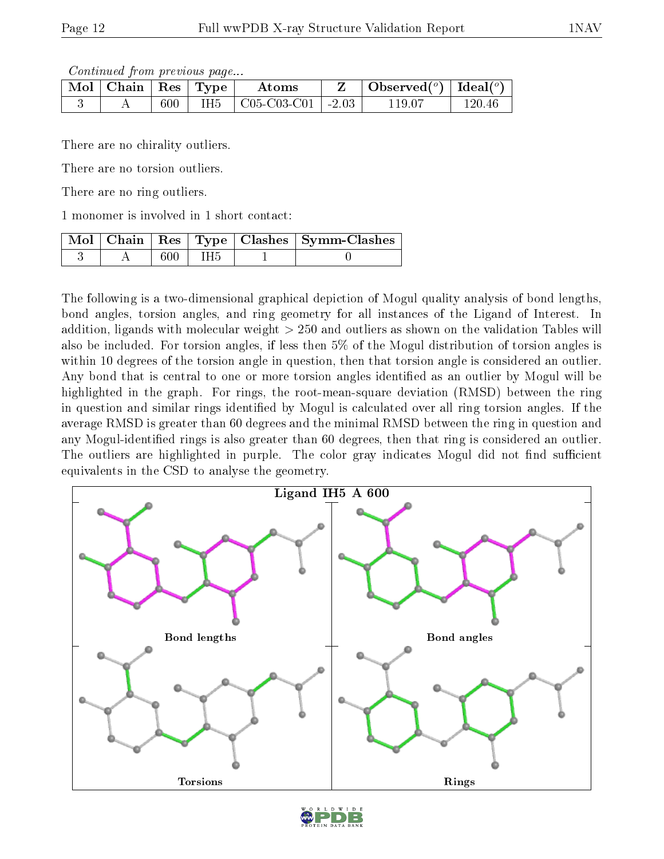Continued from previous page...

| Mol | Chain   Res   Type $\perp$ |         |      | Atoms                           | Observed( $^{\circ}$ )   Ideal( $^{\circ}$ ) |  |
|-----|----------------------------|---------|------|---------------------------------|----------------------------------------------|--|
|     |                            | $600\,$ | IH5. | $\mid$ C05-C03-C01 $\mid$ -2.03 | . 19.07                                      |  |

There are no chirality outliers.

There are no torsion outliers.

There are no ring outliers.

1 monomer is involved in 1 short contact:

|  |     | Mol   Chain   Res   Type   Clashes   Symm-Clashes |
|--|-----|---------------------------------------------------|
|  | IH5 |                                                   |

The following is a two-dimensional graphical depiction of Mogul quality analysis of bond lengths, bond angles, torsion angles, and ring geometry for all instances of the Ligand of Interest. In addition, ligands with molecular weight > 250 and outliers as shown on the validation Tables will also be included. For torsion angles, if less then 5% of the Mogul distribution of torsion angles is within 10 degrees of the torsion angle in question, then that torsion angle is considered an outlier. Any bond that is central to one or more torsion angles identified as an outlier by Mogul will be highlighted in the graph. For rings, the root-mean-square deviation (RMSD) between the ring in question and similar rings identified by Mogul is calculated over all ring torsion angles. If the average RMSD is greater than 60 degrees and the minimal RMSD between the ring in question and any Mogul-identified rings is also greater than 60 degrees, then that ring is considered an outlier. The outliers are highlighted in purple. The color gray indicates Mogul did not find sufficient equivalents in the CSD to analyse the geometry.



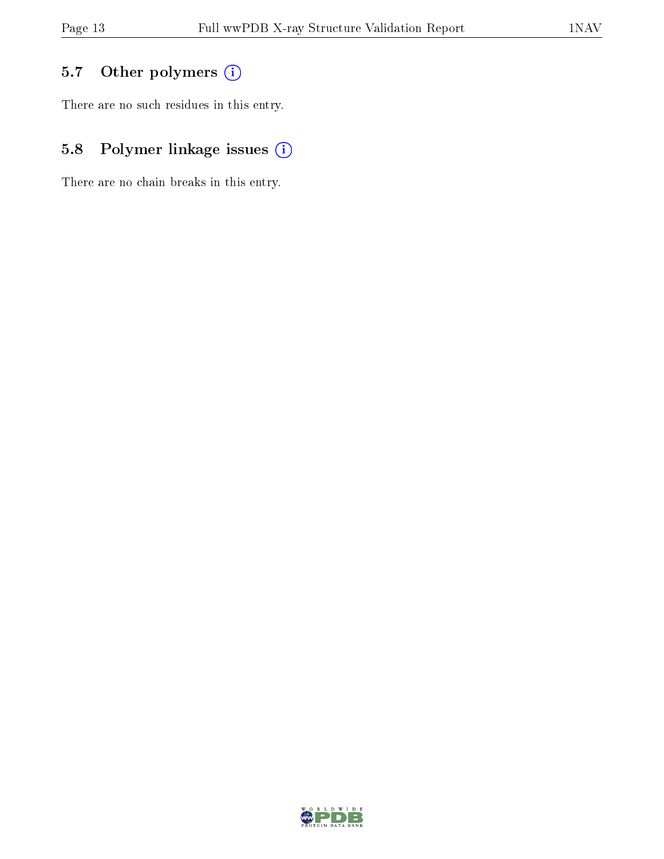## 5.7 [O](https://www.wwpdb.org/validation/2017/XrayValidationReportHelp#nonstandard_residues_and_ligands)ther polymers (i)

There are no such residues in this entry.

## 5.8 Polymer linkage issues (i)

There are no chain breaks in this entry.

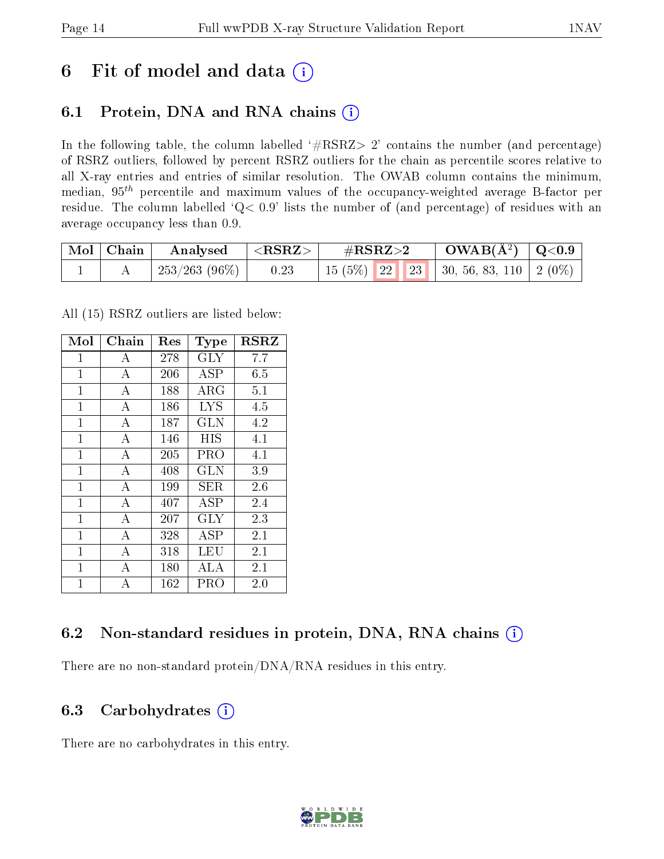# 6 Fit of model and data  $(i)$

## 6.1 Protein, DNA and RNA chains  $(i)$

In the following table, the column labelled  $#RSRZ> 2'$  contains the number (and percentage) of RSRZ outliers, followed by percent RSRZ outliers for the chain as percentile scores relative to all X-ray entries and entries of similar resolution. The OWAB column contains the minimum, median,  $95<sup>th</sup>$  percentile and maximum values of the occupancy-weighted average B-factor per residue. The column labelled ' $Q< 0.9$ ' lists the number of (and percentage) of residues with an average occupancy less than 0.9.

| Mol   Chain | Analysed                    | $ \langle \mathrm{RSRZ}\rangle $ | $\#\mathrm{RSRZ}{>}2$                        | $\text{OWAB}(\text{A}^2) \mid \text{Q}<0.9$ |  |
|-------------|-----------------------------|----------------------------------|----------------------------------------------|---------------------------------------------|--|
|             | $\mid$ 253/263 (96%) $\mid$ | 0.23                             | 15 (5%)   22   23   30, 56, 83, 110   2 (0%) |                                             |  |

All (15) RSRZ outliers are listed below:

| Mol            | ${\rm Chain}$  | $\operatorname{Res}% \left( \mathcal{N}\right) \equiv\operatorname{Res}(\mathcal{N}_{0},\mathcal{N}_{0})$ | Type         | <b>RSRZ</b> |
|----------------|----------------|-----------------------------------------------------------------------------------------------------------|--------------|-------------|
| $\mathbf{1}$   | A              | 278                                                                                                       | <b>GLY</b>   | 7.7         |
| $\mathbf{1}$   | $\overline{A}$ | 206                                                                                                       | <b>ASP</b>   | 6.5         |
| $\mathbf{1}$   | А              | 188                                                                                                       | ${\rm ARG}$  | 5.1         |
| $\mathbf{1}$   | A              | 186                                                                                                       | <b>LYS</b>   | 4.5         |
| $\overline{1}$ | $\overline{A}$ | 187                                                                                                       | <b>GLN</b>   | 4.2         |
| 1              | $\overline{A}$ | 146                                                                                                       | <b>HIS</b>   | 4.1         |
| $\mathbf{1}$   | А              | 205                                                                                                       | PRO          | $4.1\,$     |
| $\overline{1}$ | $\overline{A}$ | 408                                                                                                       | <b>GLN</b>   | 3.9         |
| $\overline{1}$ | $\mathbf{A}$   | 199                                                                                                       | SER.         | 2.6         |
| $\mathbf{1}$   | А              | 407                                                                                                       | $_{\rm ASP}$ | 2.4         |
| $\mathbf{1}$   | A              | 207                                                                                                       | <b>GLY</b>   | 2.3         |
| $\overline{1}$ | $\overline{A}$ | 328                                                                                                       | ASP          | 2.1         |
| $\mathbf{1}$   | А              | 318                                                                                                       | LEU          | 2.1         |
| 1              | А              | 180                                                                                                       | ALA          | 2.1         |
| $\overline{1}$ | $\overline{A}$ | 162                                                                                                       | PRO          | 2.0         |

### 6.2 Non-standard residues in protein, DNA, RNA chains (i)

There are no non-standard protein/DNA/RNA residues in this entry.

#### 6.3 Carbohydrates  $(i)$

There are no carbohydrates in this entry.